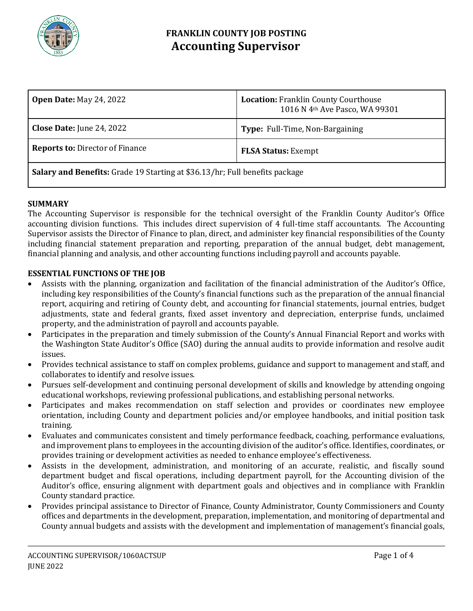

### **FRANKLIN COUNTY JOB POSTING Accounting Supervisor**

| <b>Open Date: May 24, 2022</b>                                                     | <b>Location: Franklin County Courthouse</b><br>1016 N 4th Ave Pasco, WA 99301 |
|------------------------------------------------------------------------------------|-------------------------------------------------------------------------------|
| <b>Close Date:</b> June 24, 2022                                                   | Type: Full-Time, Non-Bargaining                                               |
| <b>Reports to: Director of Finance</b>                                             | <b>FLSA Status: Exempt</b>                                                    |
| <b>Salary and Benefits:</b> Grade 19 Starting at \$36.13/hr; Full benefits package |                                                                               |

### **SUMMARY**

The Accounting Supervisor is responsible for the technical oversight of the Franklin County Auditor's Office accounting division functions. This includes direct supervision of 4 full-time staff accountants. The Accounting Supervisor assists the Director of Finance to plan, direct, and administer key financial responsibilities of the County including financial statement preparation and reporting, preparation of the annual budget, debt management, financial planning and analysis, and other accounting functions including payroll and accounts payable.

#### **ESSENTIAL FUNCTIONS OF THE JOB**

- Assists with the planning, organization and facilitation of the financial administration of the Auditor's Office, including key responsibilities of the County's financial functions such as the preparation of the annual financial report, acquiring and retiring of County debt, and accounting for financial statements, journal entries, budget adjustments, state and federal grants, fixed asset inventory and depreciation, enterprise funds, unclaimed property, and the administration of payroll and accounts payable.
- Participates in the preparation and timely submission of the County's Annual Financial Report and works with the Washington State Auditor's Office (SAO) during the annual audits to provide information and resolve audit issues.
- Provides technical assistance to staff on complex problems, guidance and support to management and staff, and collaborates to identify and resolve issues.
- Pursues self-development and continuing personal development of skills and knowledge by attending ongoing educational workshops, reviewing professional publications, and establishing personal networks.
- Participates and makes recommendation on staff selection and provides or coordinates new employee orientation, including County and department policies and/or employee handbooks, and initial position task training.
- Evaluates and communicates consistent and timely performance feedback, coaching, performance evaluations, and improvement plans to employees in the accounting division of the auditor's office. Identifies, coordinates, or provides training or development activities as needed to enhance employee's effectiveness.
- Assists in the development, administration, and monitoring of an accurate, realistic, and fiscally sound department budget and fiscal operations, including department payroll, for the Accounting division of the Auditor's office, ensuring alignment with department goals and objectives and in compliance with Franklin County standard practice.
- Provides principal assistance to Director of Finance, County Administrator, County Commissioners and County offices and departments in the development, preparation, implementation, and monitoring of departmental and County annual budgets and assists with the development and implementation of management's financial goals,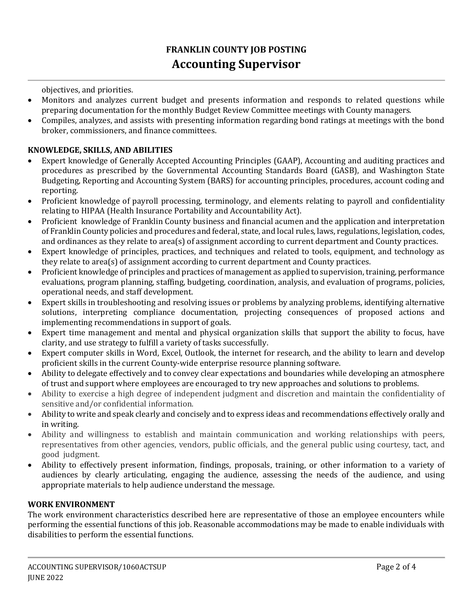## **FRANKLIN COUNTY JOB POSTING Accounting Supervisor**

objectives, and priorities.

- Monitors and analyzes current budget and presents information and responds to related questions while preparing documentation for the monthly Budget Review Committee meetings with County managers.
- Compiles, analyzes, and assists with presenting information regarding bond ratings at meetings with the bond broker, commissioners, and finance committees.

### **KNOWLEDGE, SKILLS, AND ABILITIES**

- Expert knowledge of Generally Accepted Accounting Principles (GAAP), Accounting and auditing practices and procedures as prescribed by the Governmental Accounting Standards Board (GASB), and Washington State Budgeting, Reporting and Accounting System (BARS) for accounting principles, procedures, account coding and reporting.
- Proficient knowledge of payroll processing, terminology, and elements relating to payroll and confidentiality relating to HIPAA (Health Insurance Portability and Accountability Act).
- Proficient knowledge of Franklin County business and financial acumen and the application and interpretation of Franklin County policies and procedures and federal, state, and local rules, laws, regulations, legislation, codes, and ordinances as they relate to area(s) of assignment according to current department and County practices.
- Expert knowledge of principles, practices, and techniques and related to tools, equipment, and technology as they relate to area(s) of assignment according to current department and County practices.
- Proficient knowledge of principles and practices of management as applied to supervision, training, performance evaluations, program planning, staffing, budgeting, coordination, analysis, and evaluation of programs, policies, operational needs, and staff development.
- Expert skills in troubleshooting and resolving issues or problems by analyzing problems, identifying alternative solutions, interpreting compliance documentation, projecting consequences of proposed actions and implementing recommendations in support of goals.
- Expert time management and mental and physical organization skills that support the ability to focus, have clarity, and use strategy to fulfill a variety of tasks successfully.
- Expert computer skills in Word, Excel, Outlook, the internet for research, and the ability to learn and develop proficient skills in the current County-wide enterprise resource planning software.
- Ability to delegate effectively and to convey clear expectations and boundaries while developing an atmosphere of trust and support where employees are encouraged to try new approaches and solutions to problems.
- Ability to exercise a high degree of independent judgment and discretion and maintain the confidentiality of sensitive and/or confidential information.
- Ability to write and speak clearly and concisely and to express ideas and recommendations effectively orally and in writing.
- Ability and willingness to establish and maintain communication and working relationships with peers, representatives from other agencies, vendors, public officials, and the general public using courtesy, tact, and good judgment.
- Ability to effectively present information, findings, proposals, training, or other information to a variety of audiences by clearly articulating, engaging the audience, assessing the needs of the audience, and using appropriate materials to help audience understand the message.

#### **WORK ENVIRONMENT**

The work environment characteristics described here are representative of those an employee encounters while performing the essential functions of this job. Reasonable accommodations may be made to enable individuals with disabilities to perform the essential functions.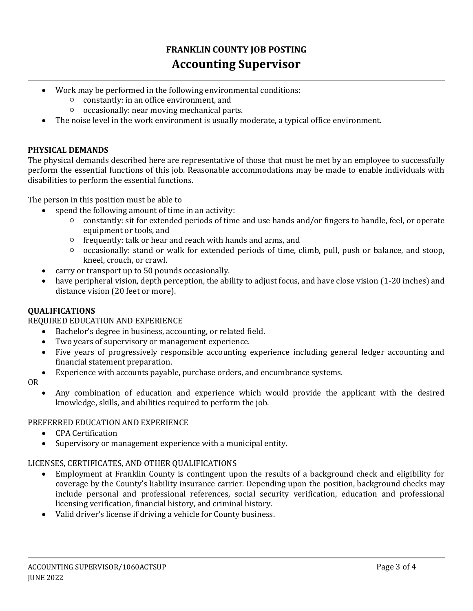# **FRANKLIN COUNTY JOB POSTING Accounting Supervisor**

- Work may be performed in the following environmental conditions:
	- constantly: in an office environment, and
	- occasionally: near moving mechanical parts.
- The noise level in the work environment is usually moderate, a typical office environment.

#### **PHYSICAL DEMANDS**

The physical demands described here are representative of those that must be met by an employee to successfully perform the essential functions of this job. Reasonable accommodations may be made to enable individuals with disabilities to perform the essential functions.

The person in this position must be able to

- spend the following amount of time in an activity:
	- constantly: sit for extended periods of time and use hands and/or fingers to handle, feel, or operate equipment or tools, and
	- frequently: talk or hear and reach with hands and arms, and
	- occasionally: stand or walk for extended periods of time, climb, pull, push or balance, and stoop, kneel, crouch, or crawl.
- carry or transport up to 50 pounds occasionally.
- have peripheral vision, depth perception, the ability to adjust focus, and have close vision (1-20 inches) and distance vision (20 feet or more).

### **QUALIFICATIONS**

### REQUIRED EDUCATION AND EXPERIENCE

- Bachelor's degree in business, accounting, or related field.
- Two years of supervisory or management experience.
- Five years of progressively responsible accounting experience including general ledger accounting and financial statement preparation.
- Experience with accounts payable, purchase orders, and encumbrance systems.
- OR
- Any combination of education and experience which would provide the applicant with the desired knowledge, skills, and abilities required to perform the job.

### PREFERRED EDUCATION AND EXPERIENCE

- CPA Certification
- Supervisory or management experience with a municipal entity.

### LICENSES, CERTIFICATES, AND OTHER QUALIFICATIONS

- Employment at Franklin County is contingent upon the results of a background check and eligibility for coverage by the County's liability insurance carrier. Depending upon the position, background checks may include personal and professional references, social security verification, education and professional licensing verification, financial history, and criminal history.
- Valid driver's license if driving a vehicle for County business.